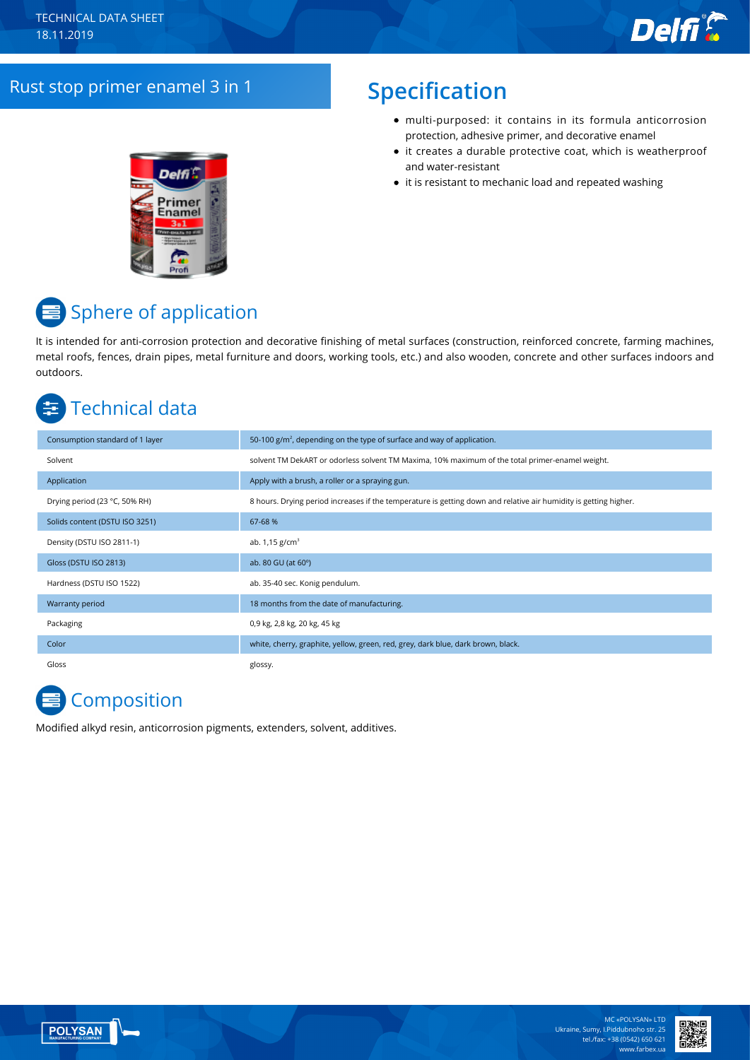### Rust stop primer enamel 3 in 1 **Specification**

- multi-purposed: it contains in its formula anticorrosion protection, adhesive primer, and decorative enamel
- it creates a durable protective coat, which is weatherproof and water-resistant
- it is resistant to mechanic load and repeated washing



# Sphere of application

It is intended for anti-corrosion protection and decorative finishing of metal surfaces (construction, reinforced concrete, farming machines, metal roofs, fences, drain pipes, metal furniture and doors, working tools, etc.) and also wooden, concrete and other surfaces indoors and outdoors.

# Technical data

| Consumption standard of 1 layer | 50-100 $g/m2$ , depending on the type of surface and way of application.                                         |
|---------------------------------|------------------------------------------------------------------------------------------------------------------|
| Solvent                         | solvent TM DekART or odorless solvent TM Maxima, 10% maximum of the total primer-enamel weight.                  |
| Application                     | Apply with a brush, a roller or a spraying gun.                                                                  |
| Drying period (23 °C, 50% RH)   | 8 hours. Drying period increases if the temperature is getting down and relative air humidity is getting higher. |
| Solids content (DSTU ISO 3251)  | 67-68 %                                                                                                          |
| Density (DSTU ISO 2811-1)       | ab. $1,15$ g/cm <sup>3</sup>                                                                                     |
| Gloss (DSTU ISO 2813)           | ab. 80 GU (at 60°)                                                                                               |
| Hardness (DSTU ISO 1522)        | ab. 35-40 sec. Konig pendulum.                                                                                   |
| Warranty period                 | 18 months from the date of manufacturing.                                                                        |
| Packaging                       | 0,9 kg, 2,8 kg, 20 kg, 45 kg                                                                                     |
| Color                           | white, cherry, graphite, yellow, green, red, grey, dark blue, dark brown, black.                                 |
| Gloss                           | glossy.                                                                                                          |

# **E** Composition

Modified alkyd resin, anticorrosion pigments, extenders, solvent, additives.